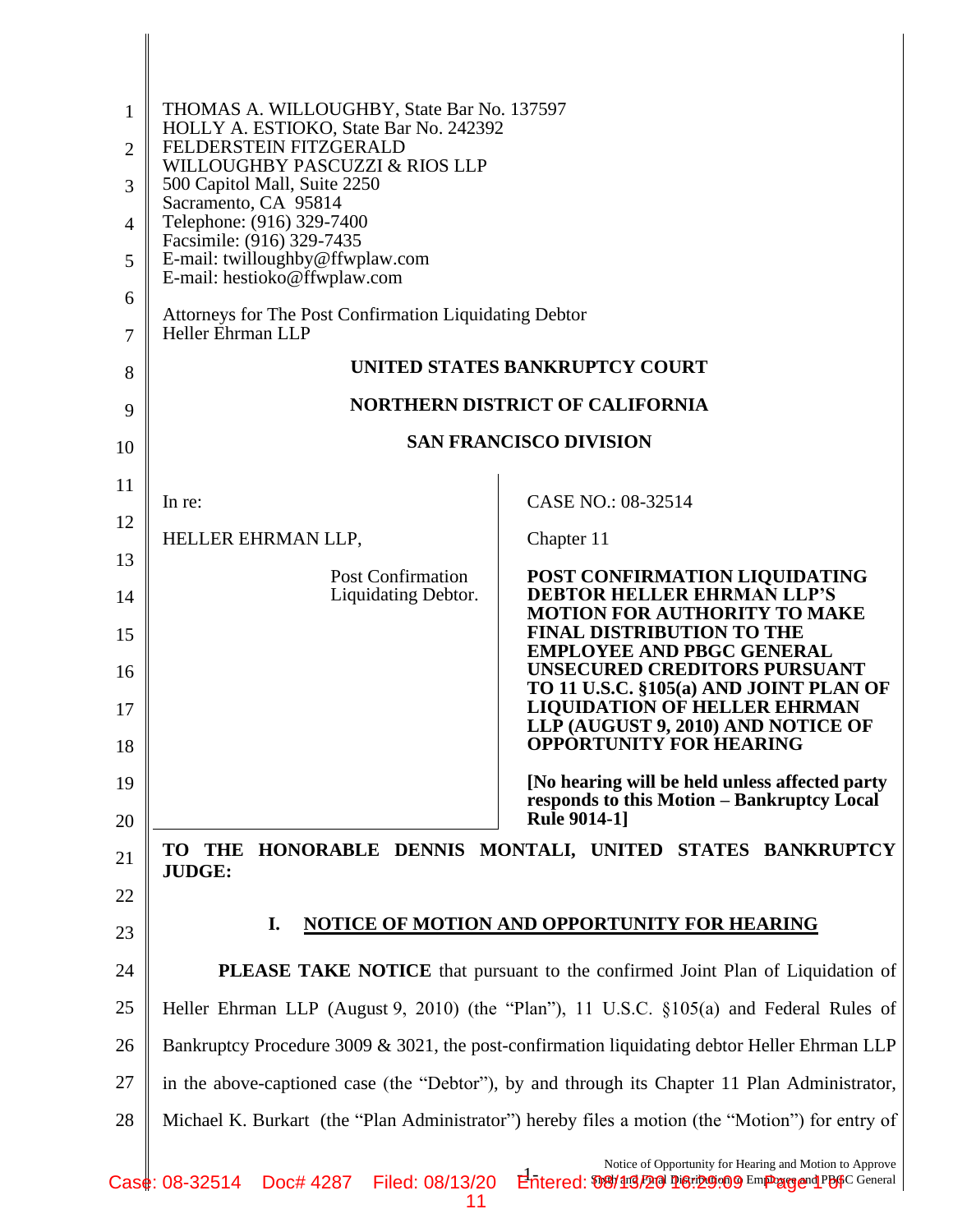| 1              | THOMAS A. WILLOUGHBY, State Bar No. 137597                                                         |                                                                                                                                   |  |
|----------------|----------------------------------------------------------------------------------------------------|-----------------------------------------------------------------------------------------------------------------------------------|--|
| $\overline{2}$ | HOLLY A. ESTIOKO, State Bar No. 242392<br>FELDERSTEIN FITZGERALD<br>WILLOUGHBY PASCUZZI & RIOS LLP |                                                                                                                                   |  |
| 3              | 500 Capitol Mall, Suite 2250<br>Sacramento, CA 95814                                               |                                                                                                                                   |  |
| 4              | Telephone: (916) 329-7400<br>Facsimile: (916) 329-7435                                             |                                                                                                                                   |  |
| 5              | E-mail: twilloughby@ffwplaw.com<br>E-mail: hestioko@ffwplaw.com                                    |                                                                                                                                   |  |
| 6              | Attorneys for The Post Confirmation Liquidating Debtor                                             |                                                                                                                                   |  |
| 7              | <b>Heller Ehrman LLP</b><br>UNITED STATES BANKRUPTCY COURT                                         |                                                                                                                                   |  |
| 8              | NORTHERN DISTRICT OF CALIFORNIA                                                                    |                                                                                                                                   |  |
| 9              | <b>SAN FRANCISCO DIVISION</b>                                                                      |                                                                                                                                   |  |
| 10             |                                                                                                    |                                                                                                                                   |  |
| 11             | In re:                                                                                             | CASE NO.: 08-32514                                                                                                                |  |
| 12             | HELLER EHRMAN LLP,                                                                                 | Chapter 11                                                                                                                        |  |
| 13<br>14       | <b>Post Confirmation</b><br>Liquidating Debtor.                                                    | POST CONFIRMATION LIQUIDATING<br><b>DEBTOR HELLER EHRMAN LLP'S</b>                                                                |  |
| 15             |                                                                                                    | <b>MOTION FOR AUTHORITY TO MAKE</b><br><b>FINAL DISTRIBUTION TO THE</b><br><b>EMPLOYEE AND PBGC GENERAL</b>                       |  |
| 16             |                                                                                                    | <b>UNSECURED CREDITORS PURSUANT</b><br>TO 11 U.S.C. §105(a) AND JOINT PLAN OF                                                     |  |
| 17<br>18       |                                                                                                    | <b>LIQUIDATION OF HELLER EHRMAN</b><br>LLP (AUGUST 9, 2010) AND NOTICE OF<br><b>OPPORTUNITY FOR HEARING</b>                       |  |
| 19             |                                                                                                    | [No hearing will be held unless affected party                                                                                    |  |
| 20             |                                                                                                    | responds to this Motion - Bankruptcy Local<br><b>Rule 9014-1]</b>                                                                 |  |
| 21             | HONORABLE DENNIS MONTALI, UNITED STATES BANKRUPTCY<br>TO<br><b>THE</b><br><b>JUDGE:</b>            |                                                                                                                                   |  |
| 22             |                                                                                                    |                                                                                                                                   |  |
| 23             | <b>NOTICE OF MOTION AND OPPORTUNITY FOR HEARING</b><br>I.                                          |                                                                                                                                   |  |
| 24             | <b>PLEASE TAKE NOTICE</b> that pursuant to the confirmed Joint Plan of Liquidation of              |                                                                                                                                   |  |
| 25             | Heller Ehrman LLP (August 9, 2010) (the "Plan"), 11 U.S.C. §105(a) and Federal Rules of            |                                                                                                                                   |  |
| 26             | Bankruptcy Procedure 3009 & 3021, the post-confirmation liquidating debtor Heller Ehrman LLP       |                                                                                                                                   |  |
| 27             | in the above-captioned case (the "Debtor"), by and through its Chapter 11 Plan Administrator,      |                                                                                                                                   |  |
| 28             | Michael K. Burkart (the "Plan Administrator") hereby files a motion (the "Motion") for entry of    |                                                                                                                                   |  |
|                | 08-32514 Doct 1287 Eilad: 08/12/20                                                                 | Notice of Opportunity for Hearing and Motion to Approve<br>ماط<br>torod: ShQh'anQ Fhrail Direribution Q Emphases and PBGC General |  |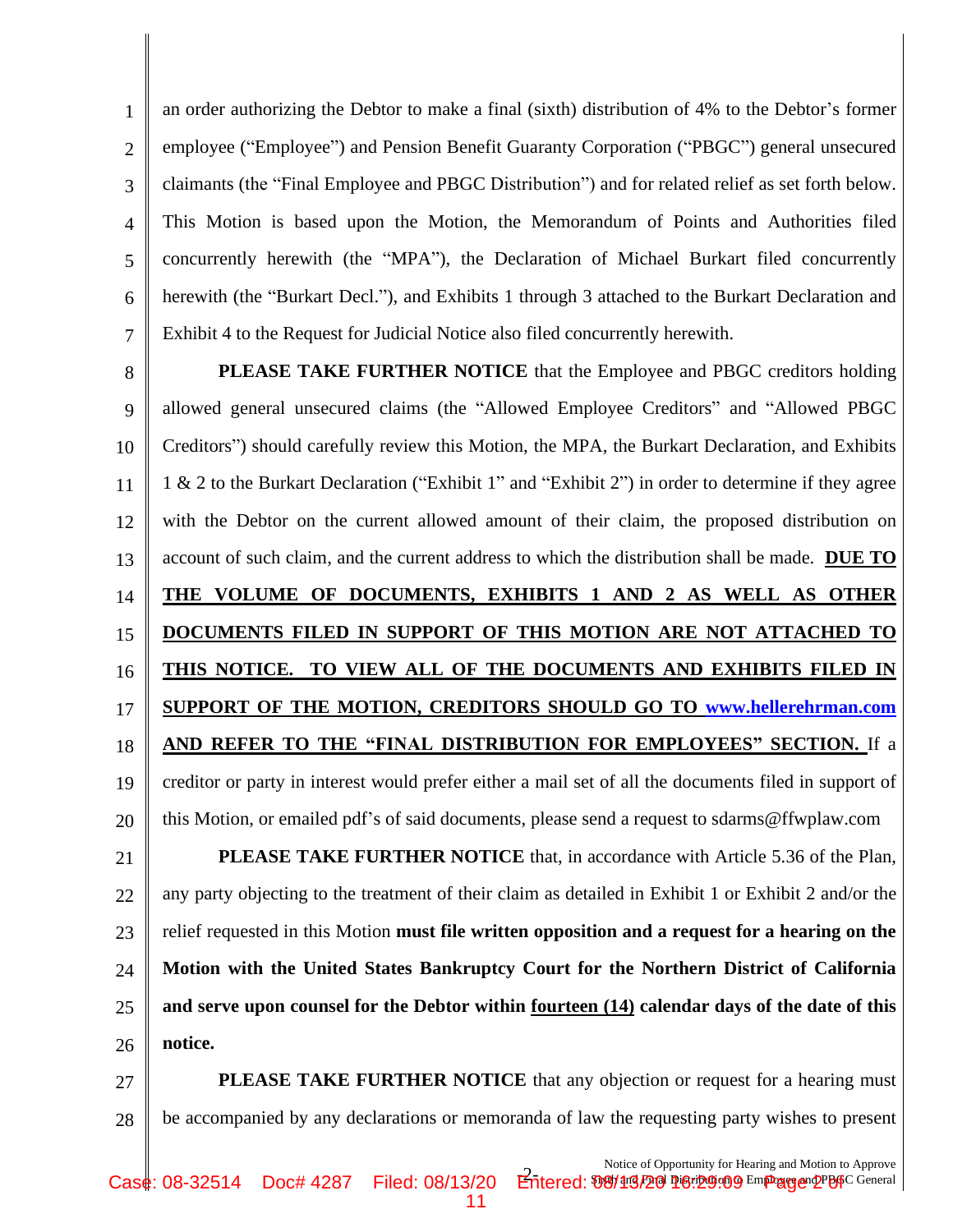1 2 3 4 5 6 7 an order authorizing the Debtor to make a final (sixth) distribution of 4% to the Debtor's former employee ("Employee") and Pension Benefit Guaranty Corporation ("PBGC") general unsecured claimants (the "Final Employee and PBGC Distribution") and for related relief as set forth below. This Motion is based upon the Motion, the Memorandum of Points and Authorities filed concurrently herewith (the "MPA"), the Declaration of Michael Burkart filed concurrently herewith (the "Burkart Decl."), and Exhibits 1 through 3 attached to the Burkart Declaration and Exhibit 4 to the Request for Judicial Notice also filed concurrently herewith.

8 9 10 11 12 13 14 15 16 17 18 19 20 21 22 23 24 **PLEASE TAKE FURTHER NOTICE** that the Employee and PBGC creditors holding allowed general unsecured claims (the "Allowed Employee Creditors" and "Allowed PBGC Creditors") should carefully review this Motion, the MPA, the Burkart Declaration, and Exhibits 1 & 2 to the Burkart Declaration ("Exhibit 1" and "Exhibit 2") in order to determine if they agree with the Debtor on the current allowed amount of their claim, the proposed distribution on account of such claim, and the current address to which the distribution shall be made. **DUE TO THE VOLUME OF DOCUMENTS, EXHIBITS 1 AND 2 AS WELL AS OTHER DOCUMENTS FILED IN SUPPORT OF THIS MOTION ARE NOT ATTACHED TO THIS NOTICE. TO VIEW ALL OF THE DOCUMENTS AND EXHIBITS FILED IN SUPPORT OF THE MOTION, CREDITORS SHOULD GO TO [www.hellerehrman.com](http://www.hellerehrman.com/) AND REFER TO THE "FINAL DISTRIBUTION FOR EMPLOYEES" SECTION.** If a creditor or party in interest would prefer either a mail set of all the documents filed in support of this Motion, or emailed pdf's of said documents, please send a request to sdarms@ffwplaw.com **PLEASE TAKE FURTHER NOTICE** that, in accordance with Article 5.36 of the Plan, any party objecting to the treatment of their claim as detailed in Exhibit 1 or Exhibit 2 and/or the relief requested in this Motion **must file written opposition and a request for a hearing on the Motion with the United States Bankruptcy Court for the Northern District of California** 

25 26 **and serve upon counsel for the Debtor within fourteen (14) calendar days of the date of this notice.** 

27 28 **PLEASE TAKE FURTHER NOTICE** that any objection or request for a hearing must be accompanied by any declarations or memoranda of law the requesting party wishes to present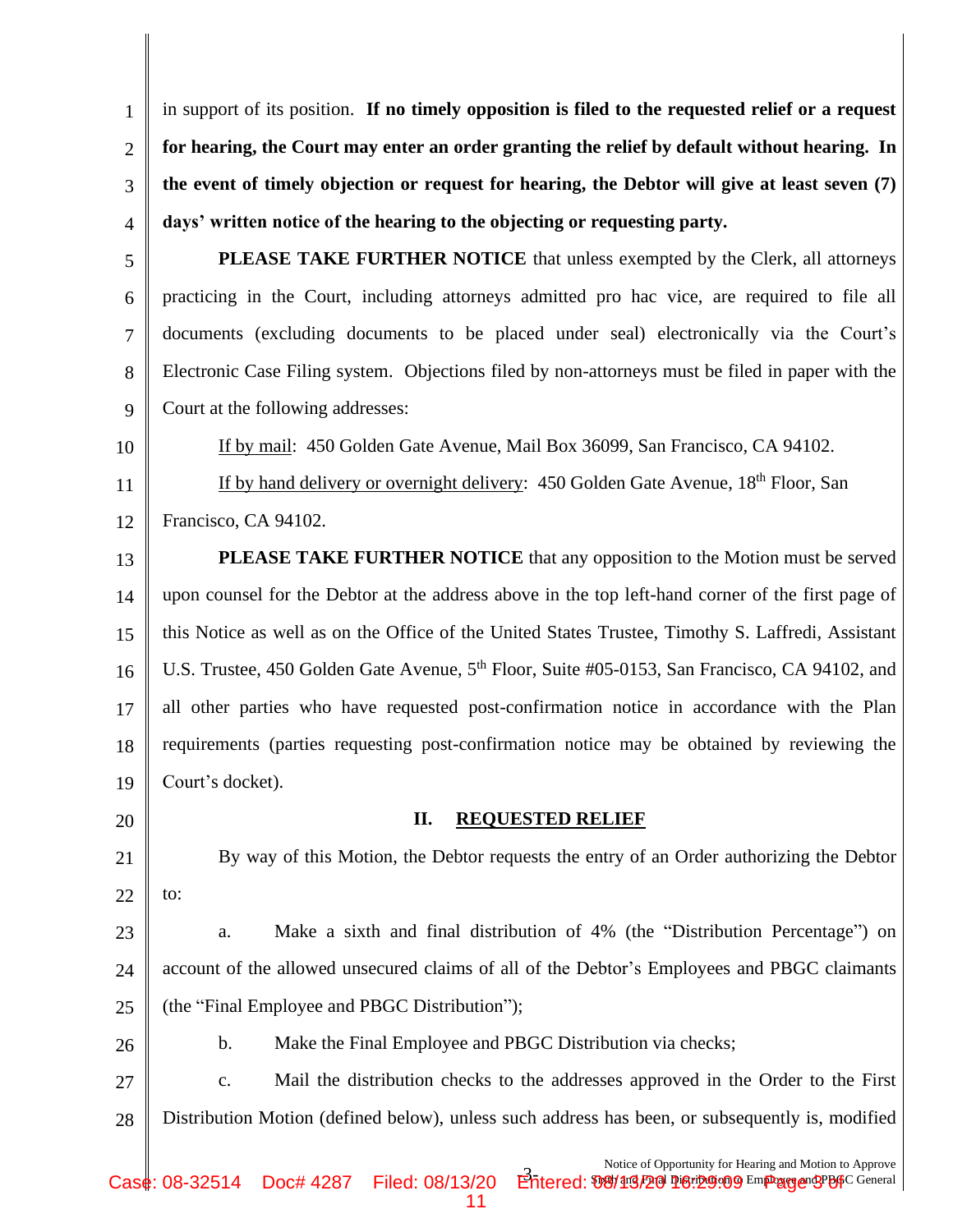1 2 3 4 in support of its position. **If no timely opposition is filed to the requested relief or a request for hearing, the Court may enter an order granting the relief by default without hearing. In the event of timely objection or request for hearing, the Debtor will give at least seven (7) days' written notice of the hearing to the objecting or requesting party.**

5 6 7 8 9 **PLEASE TAKE FURTHER NOTICE** that unless exempted by the Clerk, all attorneys practicing in the Court, including attorneys admitted pro hac vice, are required to file all documents (excluding documents to be placed under seal) electronically via the Court's Electronic Case Filing system. Objections filed by non-attorneys must be filed in paper with the Court at the following addresses:

If by mail: 450 Golden Gate Avenue, Mail Box 36099, San Francisco, CA 94102.

If by hand delivery or overnight delivery: 450 Golden Gate Avenue,  $18<sup>th</sup>$  Floor, San Francisco, CA 94102.

13 14 15 16 17 18 19 **PLEASE TAKE FURTHER NOTICE** that any opposition to the Motion must be served upon counsel for the Debtor at the address above in the top left-hand corner of the first page of this Notice as well as on the Office of the United States Trustee, Timothy S. Laffredi, Assistant U.S. Trustee, 450 Golden Gate Avenue, 5<sup>th</sup> Floor, Suite #05-0153, San Francisco, CA 94102, and all other parties who have requested post-confirmation notice in accordance with the Plan requirements (parties requesting post-confirmation notice may be obtained by reviewing the Court's docket).

20

10

11

12

21

26

## **II. REQUESTED RELIEF**

22 By way of this Motion, the Debtor requests the entry of an Order authorizing the Debtor to:

23 24  $25$ a. Make a sixth and final distribution of 4% (the "Distribution Percentage") on account of the allowed unsecured claims of all of the Debtor's Employees and PBGC claimants (the "Final Employee and PBGC Distribution");

b. Make the Final Employee and PBGC Distribution via checks;

27 28 c. Mail the distribution checks to the addresses approved in the Order to the First Distribution Motion (defined below), unless such address has been, or subsequently is, modified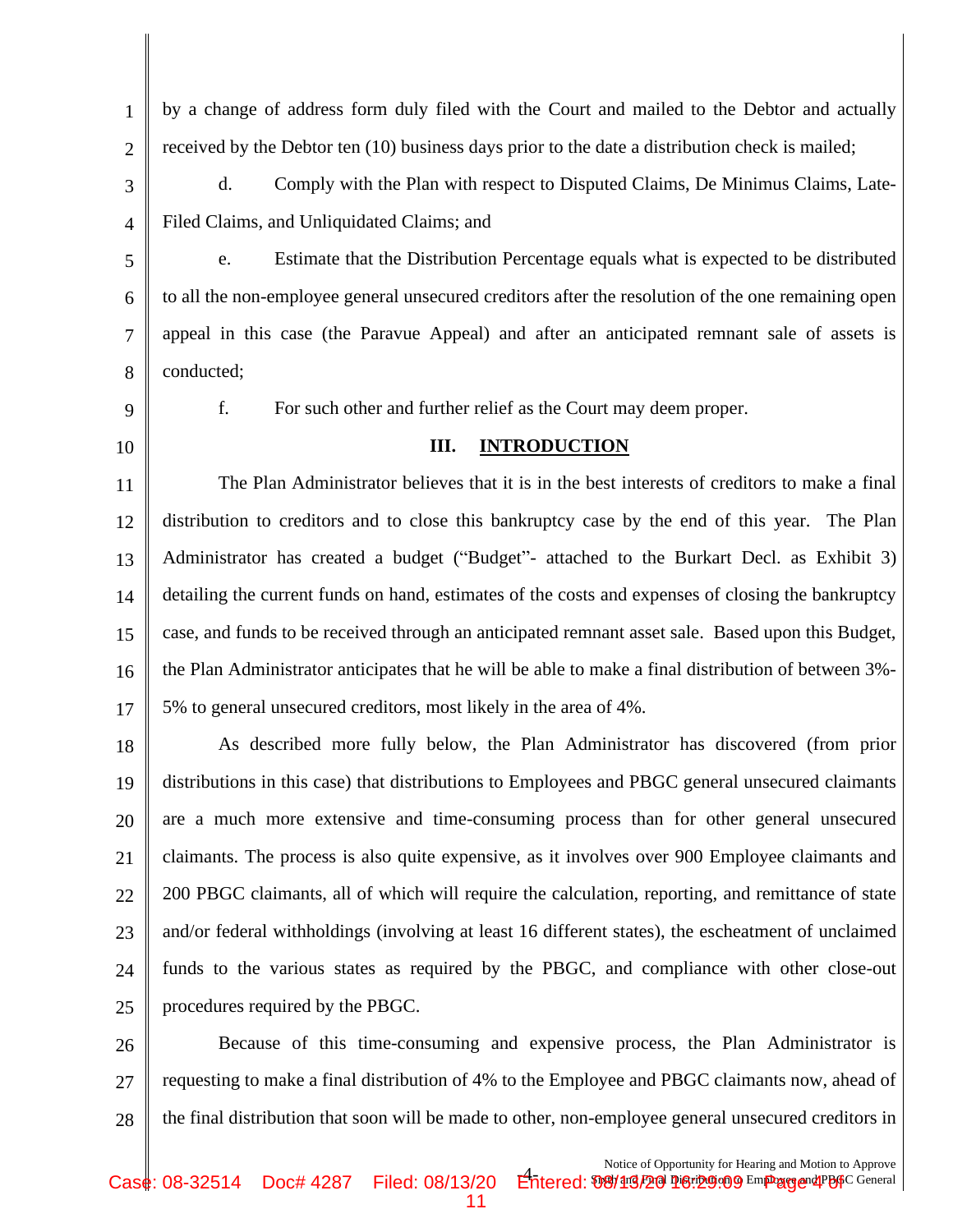| $\mathbf{1}$   | by a change of address form duly filed with the Court and mailed to the Debtor and actually         |  |
|----------------|-----------------------------------------------------------------------------------------------------|--|
| $\overline{2}$ | received by the Debtor ten (10) business days prior to the date a distribution check is mailed;     |  |
| 3              | Comply with the Plan with respect to Disputed Claims, De Minimus Claims, Late-<br>d.                |  |
| $\overline{4}$ | Filed Claims, and Unliquidated Claims; and                                                          |  |
| 5              | Estimate that the Distribution Percentage equals what is expected to be distributed<br>e.           |  |
| 6              | to all the non-employee general unsecured creditors after the resolution of the one remaining open  |  |
| 7              | appeal in this case (the Paravue Appeal) and after an anticipated remnant sale of assets is         |  |
| 8              | conducted;                                                                                          |  |
| 9              | f.<br>For such other and further relief as the Court may deem proper.                               |  |
| 10             | III.<br><b>INTRODUCTION</b>                                                                         |  |
| 11             | The Plan Administrator believes that it is in the best interests of creditors to make a final       |  |
| 12             | distribution to creditors and to close this bankruptcy case by the end of this year. The Plan       |  |
| 13             | Administrator has created a budget ("Budget" attached to the Burkart Decl. as Exhibit 3)            |  |
| 14             | detailing the current funds on hand, estimates of the costs and expenses of closing the bankruptcy  |  |
| 15             | case, and funds to be received through an anticipated remnant asset sale. Based upon this Budget,   |  |
| 16             | the Plan Administrator anticipates that he will be able to make a final distribution of between 3%- |  |
| 17             | 5% to general unsecured creditors, most likely in the area of 4%.                                   |  |
| 18             | As described more fully below, the Plan Administrator has discovered (from prior                    |  |
| 19             | distributions in this case) that distributions to Employees and PBGC general unsecured claimants    |  |
| 20             | are a much more extensive and time-consuming process than for other general unsecured               |  |
| 21             | claimants. The process is also quite expensive, as it involves over 900 Employee claimants and      |  |
| 22             | 200 PBGC claimants, all of which will require the calculation, reporting, and remittance of state   |  |
| 23             | and/or federal withholdings (involving at least 16 different states), the escheatment of unclaimed  |  |
| 24             | funds to the various states as required by the PBGC, and compliance with other close-out            |  |
| 25             | procedures required by the PBGC.                                                                    |  |
| 26             | Because of this time-consuming and expensive process, the Plan Administrator is                     |  |
| 27             | requesting to make a final distribution of 4% to the Employee and PBGC claimants now, ahead of      |  |
| 28             | the final distribution that soon will be made to other, non-employee general unsecured creditors in |  |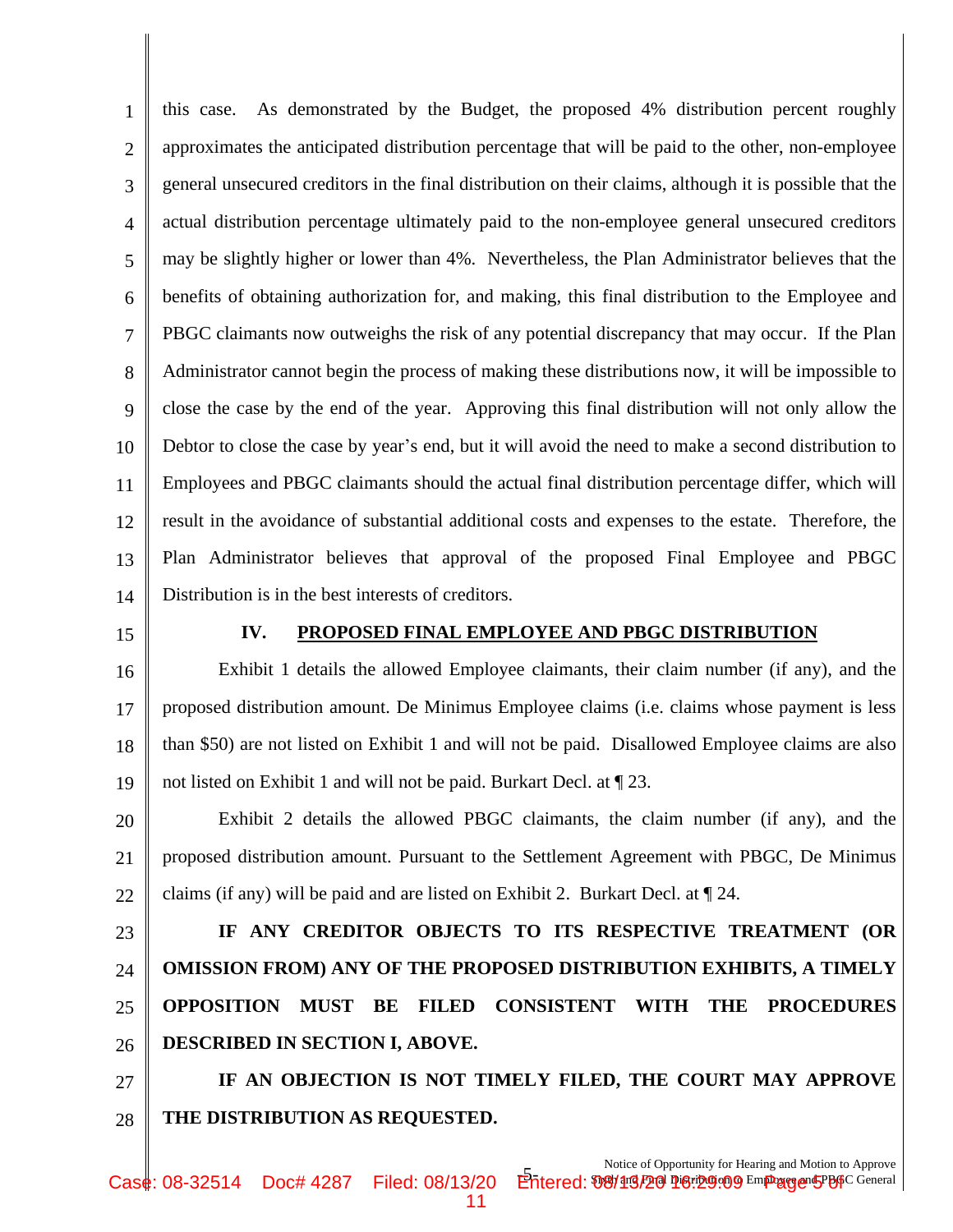1 2 3 4 5 6 7 8 9 10 11 12 13 14 this case. As demonstrated by the Budget, the proposed 4% distribution percent roughly approximates the anticipated distribution percentage that will be paid to the other, non-employee general unsecured creditors in the final distribution on their claims, although it is possible that the actual distribution percentage ultimately paid to the non-employee general unsecured creditors may be slightly higher or lower than 4%. Nevertheless, the Plan Administrator believes that the benefits of obtaining authorization for, and making, this final distribution to the Employee and PBGC claimants now outweighs the risk of any potential discrepancy that may occur. If the Plan Administrator cannot begin the process of making these distributions now, it will be impossible to close the case by the end of the year. Approving this final distribution will not only allow the Debtor to close the case by year's end, but it will avoid the need to make a second distribution to Employees and PBGC claimants should the actual final distribution percentage differ, which will result in the avoidance of substantial additional costs and expenses to the estate. Therefore, the Plan Administrator believes that approval of the proposed Final Employee and PBGC Distribution is in the best interests of creditors.

15

#### **IV. PROPOSED FINAL EMPLOYEE AND PBGC DISTRIBUTION**

16 17 18 19 Exhibit 1 details the allowed Employee claimants, their claim number (if any), and the proposed distribution amount. De Minimus Employee claims (i.e. claims whose payment is less than \$50) are not listed on Exhibit 1 and will not be paid. Disallowed Employee claims are also not listed on Exhibit 1 and will not be paid. Burkart Decl. at ¶ 23.

20 21 22 Exhibit 2 details the allowed PBGC claimants, the claim number (if any), and the proposed distribution amount. Pursuant to the Settlement Agreement with PBGC, De Minimus claims (if any) will be paid and are listed on Exhibit 2. Burkart Decl. at ¶ 24.

23 24 25 26 **IF ANY CREDITOR OBJECTS TO ITS RESPECTIVE TREATMENT (OR OMISSION FROM) ANY OF THE PROPOSED DISTRIBUTION EXHIBITS, A TIMELY OPPOSITION MUST BE FILED CONSISTENT WITH THE PROCEDURES DESCRIBED IN SECTION I, ABOVE.** 

27 28 **IF AN OBJECTION IS NOT TIMELY FILED, THE COURT MAY APPROVE THE DISTRIBUTION AS REQUESTED.**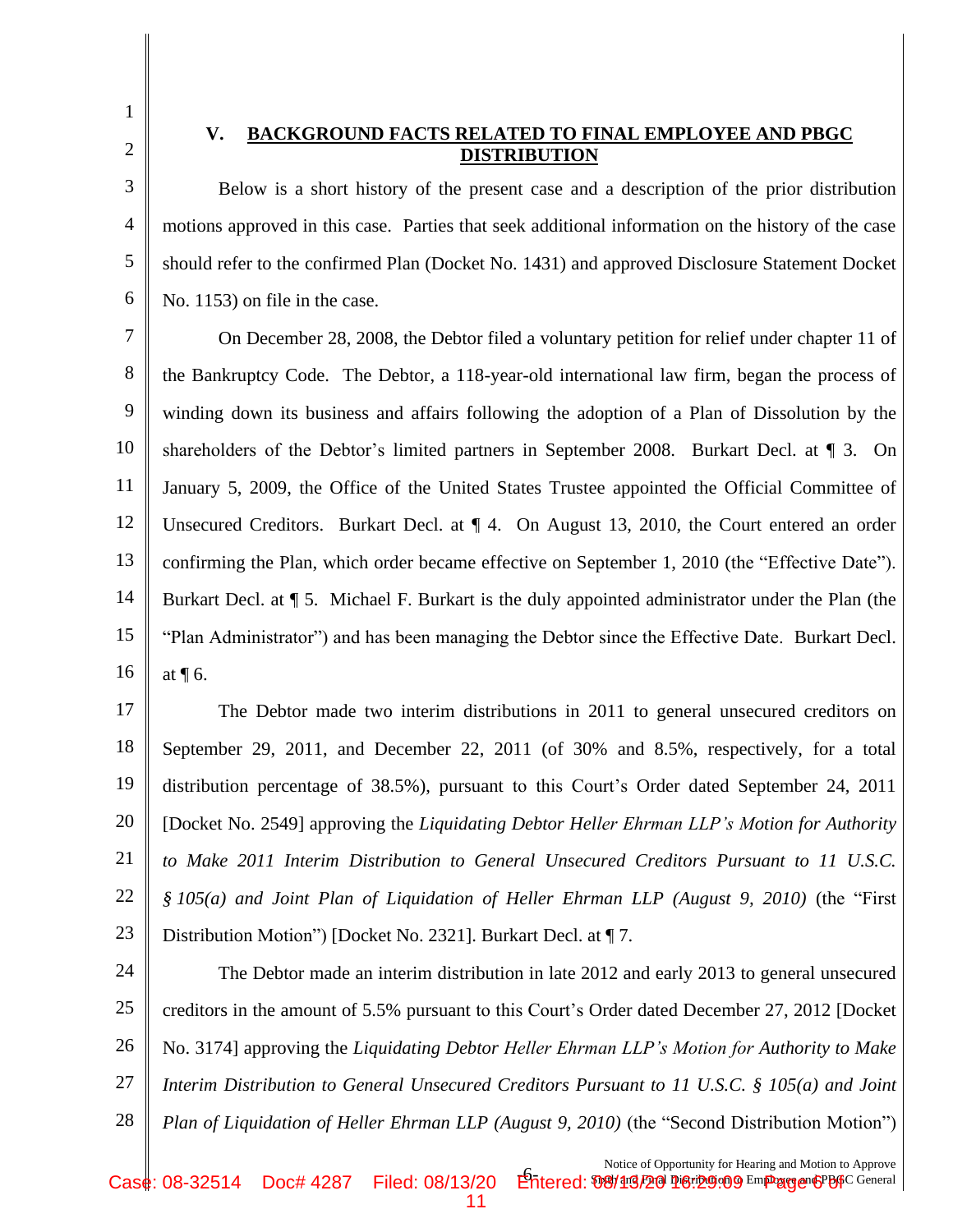2

3

4

5

6

1

## **V. BACKGROUND FACTS RELATED TO FINAL EMPLOYEE AND PBGC DISTRIBUTION**

Below is a short history of the present case and a description of the prior distribution motions approved in this case. Parties that seek additional information on the history of the case should refer to the confirmed Plan (Docket No. 1431) and approved Disclosure Statement Docket No. 1153) on file in the case.

7 8 9 10 11 12 13 14 15 16 On December 28, 2008, the Debtor filed a voluntary petition for relief under chapter 11 of the Bankruptcy Code. The Debtor, a 118-year-old international law firm, began the process of winding down its business and affairs following the adoption of a Plan of Dissolution by the shareholders of the Debtor's limited partners in September 2008. Burkart Decl. at ¶ 3. On January 5, 2009, the Office of the United States Trustee appointed the Official Committee of Unsecured Creditors. Burkart Decl. at ¶ 4. On August 13, 2010, the Court entered an order confirming the Plan, which order became effective on September 1, 2010 (the "Effective Date"). Burkart Decl. at ¶ 5. Michael F. Burkart is the duly appointed administrator under the Plan (the "Plan Administrator") and has been managing the Debtor since the Effective Date. Burkart Decl. at ¶ 6.

17 18 19 20 21 22 23 The Debtor made two interim distributions in 2011 to general unsecured creditors on September 29, 2011, and December 22, 2011 (of 30% and 8.5%, respectively, for a total distribution percentage of 38.5%), pursuant to this Court's Order dated September 24, 2011 [Docket No. 2549] approving the *Liquidating Debtor Heller Ehrman LLP's Motion for Authority to Make 2011 Interim Distribution to General Unsecured Creditors Pursuant to 11 U.S.C. § 105(a) and Joint Plan of Liquidation of Heller Ehrman LLP (August 9, 2010)* (the "First Distribution Motion") [Docket No. 2321]. Burkart Decl. at ¶ 7.

24 25 26 27 28 The Debtor made an interim distribution in late 2012 and early 2013 to general unsecured creditors in the amount of 5.5% pursuant to this Court's Order dated December 27, 2012 [Docket No. 3174] approving the *Liquidating Debtor Heller Ehrman LLP's Motion for Authority to Make Interim Distribution to General Unsecured Creditors Pursuant to 11 U.S.C. § 105(a) and Joint Plan of Liquidation of Heller Ehrman LLP (August 9, 2010)* (the "Second Distribution Motion")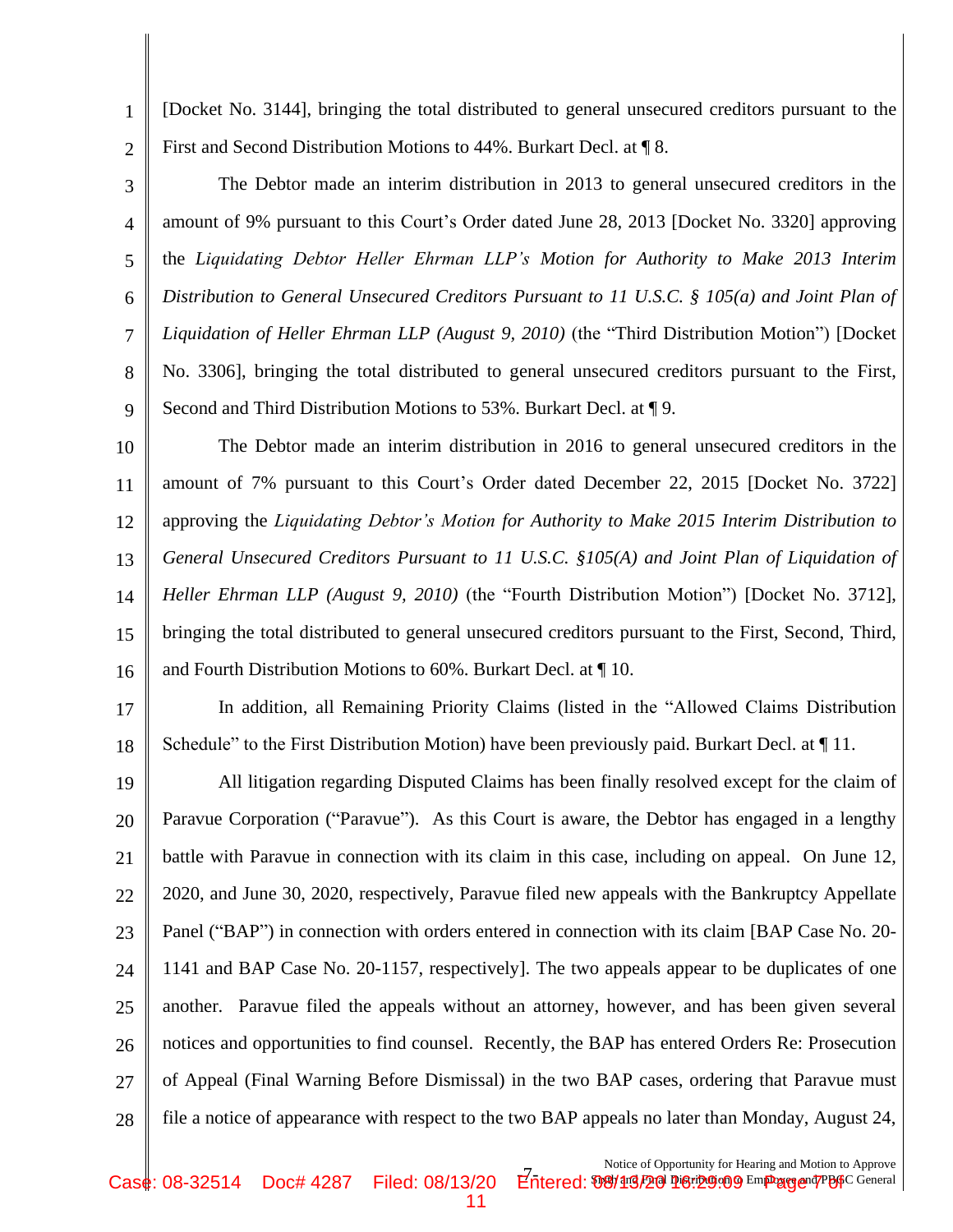[Docket No. 3144], bringing the total distributed to general unsecured creditors pursuant to the First and Second Distribution Motions to 44%. Burkart Decl. at ¶ 8.

1

2

3 4 5 6 7 8 9 The Debtor made an interim distribution in 2013 to general unsecured creditors in the amount of 9% pursuant to this Court's Order dated June 28, 2013 [Docket No. 3320] approving the *Liquidating Debtor Heller Ehrman LLP's Motion for Authority to Make 2013 Interim Distribution to General Unsecured Creditors Pursuant to 11 U.S.C. § 105(a) and Joint Plan of Liquidation of Heller Ehrman LLP (August 9, 2010)* (the "Third Distribution Motion") [Docket No. 3306], bringing the total distributed to general unsecured creditors pursuant to the First, Second and Third Distribution Motions to 53%. Burkart Decl. at ¶ 9.

10 11 12 13 14 15 16 The Debtor made an interim distribution in 2016 to general unsecured creditors in the amount of 7% pursuant to this Court's Order dated December 22, 2015 [Docket No. 3722] approving the *Liquidating Debtor's Motion for Authority to Make 2015 Interim Distribution to General Unsecured Creditors Pursuant to 11 U.S.C. §105(A) and Joint Plan of Liquidation of Heller Ehrman LLP (August 9, 2010)* (the "Fourth Distribution Motion") [Docket No. 3712], bringing the total distributed to general unsecured creditors pursuant to the First, Second, Third, and Fourth Distribution Motions to 60%. Burkart Decl. at ¶ 10.

17 18 In addition, all Remaining Priority Claims (listed in the "Allowed Claims Distribution Schedule" to the First Distribution Motion) have been previously paid. Burkart Decl. at  $\P$  11.

19 20 21 22 23 24 25 26 27 28 All litigation regarding Disputed Claims has been finally resolved except for the claim of Paravue Corporation ("Paravue"). As this Court is aware, the Debtor has engaged in a lengthy battle with Paravue in connection with its claim in this case, including on appeal. On June 12, 2020, and June 30, 2020, respectively, Paravue filed new appeals with the Bankruptcy Appellate Panel ("BAP") in connection with orders entered in connection with its claim [BAP Case No. 20- 1141 and BAP Case No. 20-1157, respectively]. The two appeals appear to be duplicates of one another. Paravue filed the appeals without an attorney, however, and has been given several notices and opportunities to find counsel. Recently, the BAP has entered Orders Re: Prosecution of Appeal (Final Warning Before Dismissal) in the two BAP cases, ordering that Paravue must file a notice of appearance with respect to the two BAP appeals no later than Monday, August 24,

T-<br>
Fotered: **Sixth and Final Distribution of Heating and Modeln to Applove** Notice of Opportunity for Hearing and Motion to Approve Case: 08-32514 Doc# 4287 Filed: 08/13/20 Entered: የንሣ19/20 Per 2010 Emp age 47PaG General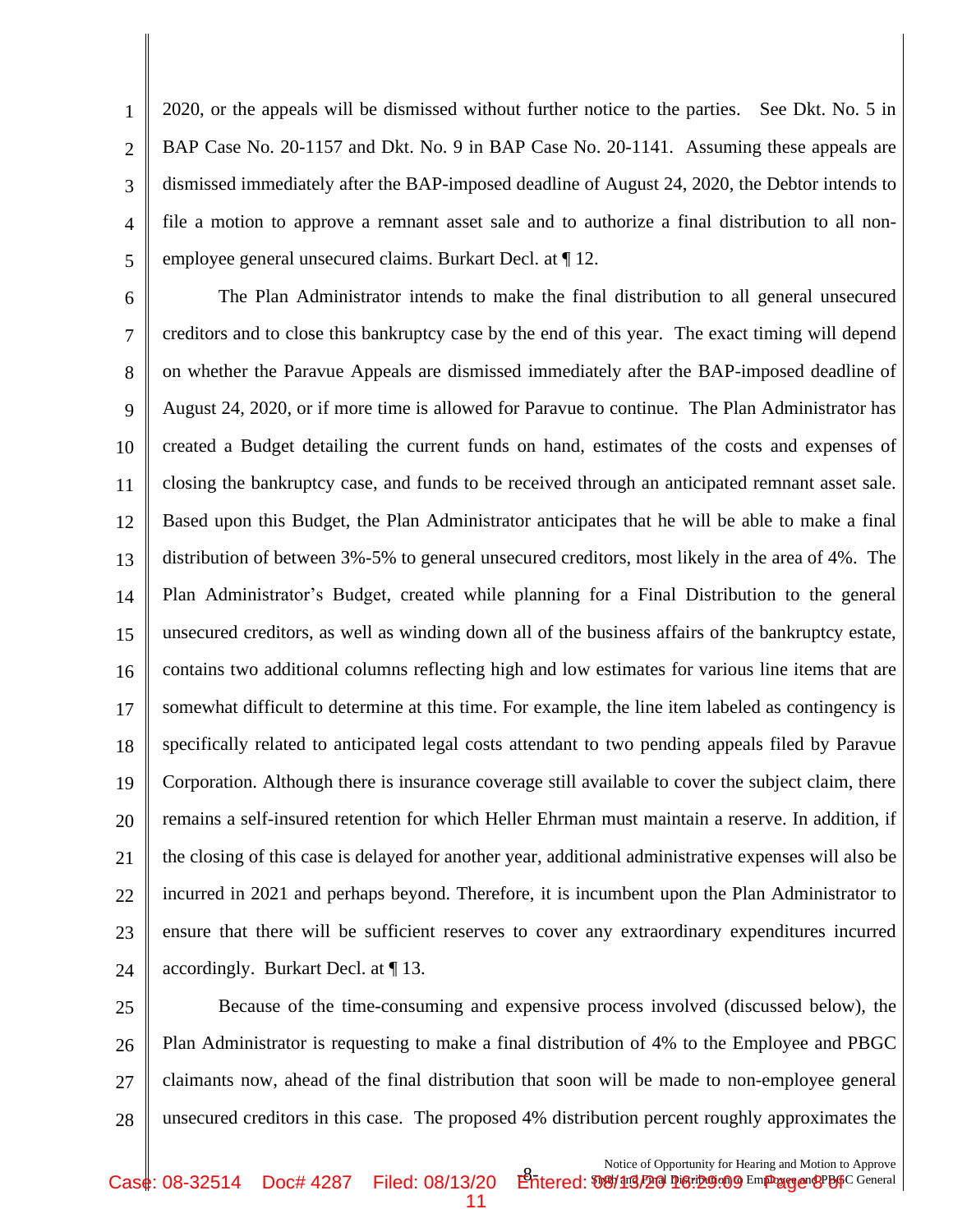3 4 2020, or the appeals will be dismissed without further notice to the parties. See Dkt. No. 5 in BAP Case No. 20-1157 and Dkt. No. 9 in BAP Case No. 20-1141. Assuming these appeals are dismissed immediately after the BAP-imposed deadline of August 24, 2020, the Debtor intends to file a motion to approve a remnant asset sale and to authorize a final distribution to all nonemployee general unsecured claims. Burkart Decl. at ¶ 12.

1

2

5

6 7 8 9 10 11 12 13 14 15 16 17 18 19 20 21 22 23 24 The Plan Administrator intends to make the final distribution to all general unsecured creditors and to close this bankruptcy case by the end of this year. The exact timing will depend on whether the Paravue Appeals are dismissed immediately after the BAP-imposed deadline of August 24, 2020, or if more time is allowed for Paravue to continue. The Plan Administrator has created a Budget detailing the current funds on hand, estimates of the costs and expenses of closing the bankruptcy case, and funds to be received through an anticipated remnant asset sale. Based upon this Budget, the Plan Administrator anticipates that he will be able to make a final distribution of between 3%-5% to general unsecured creditors, most likely in the area of 4%. The Plan Administrator's Budget, created while planning for a Final Distribution to the general unsecured creditors, as well as winding down all of the business affairs of the bankruptcy estate, contains two additional columns reflecting high and low estimates for various line items that are somewhat difficult to determine at this time. For example, the line item labeled as contingency is specifically related to anticipated legal costs attendant to two pending appeals filed by Paravue Corporation. Although there is insurance coverage still available to cover the subject claim, there remains a self-insured retention for which Heller Ehrman must maintain a reserve. In addition, if the closing of this case is delayed for another year, additional administrative expenses will also be incurred in 2021 and perhaps beyond. Therefore, it is incumbent upon the Plan Administrator to ensure that there will be sufficient reserves to cover any extraordinary expenditures incurred accordingly. Burkart Decl. at ¶ 13.

25 26 27 28 Because of the time-consuming and expensive process involved (discussed below), the Plan Administrator is requesting to make a final distribution of 4% to the Employee and PBGC claimants now, ahead of the final distribution that soon will be made to non-employee general unsecured creditors in this case. The proposed 4% distribution percent roughly approximates the

11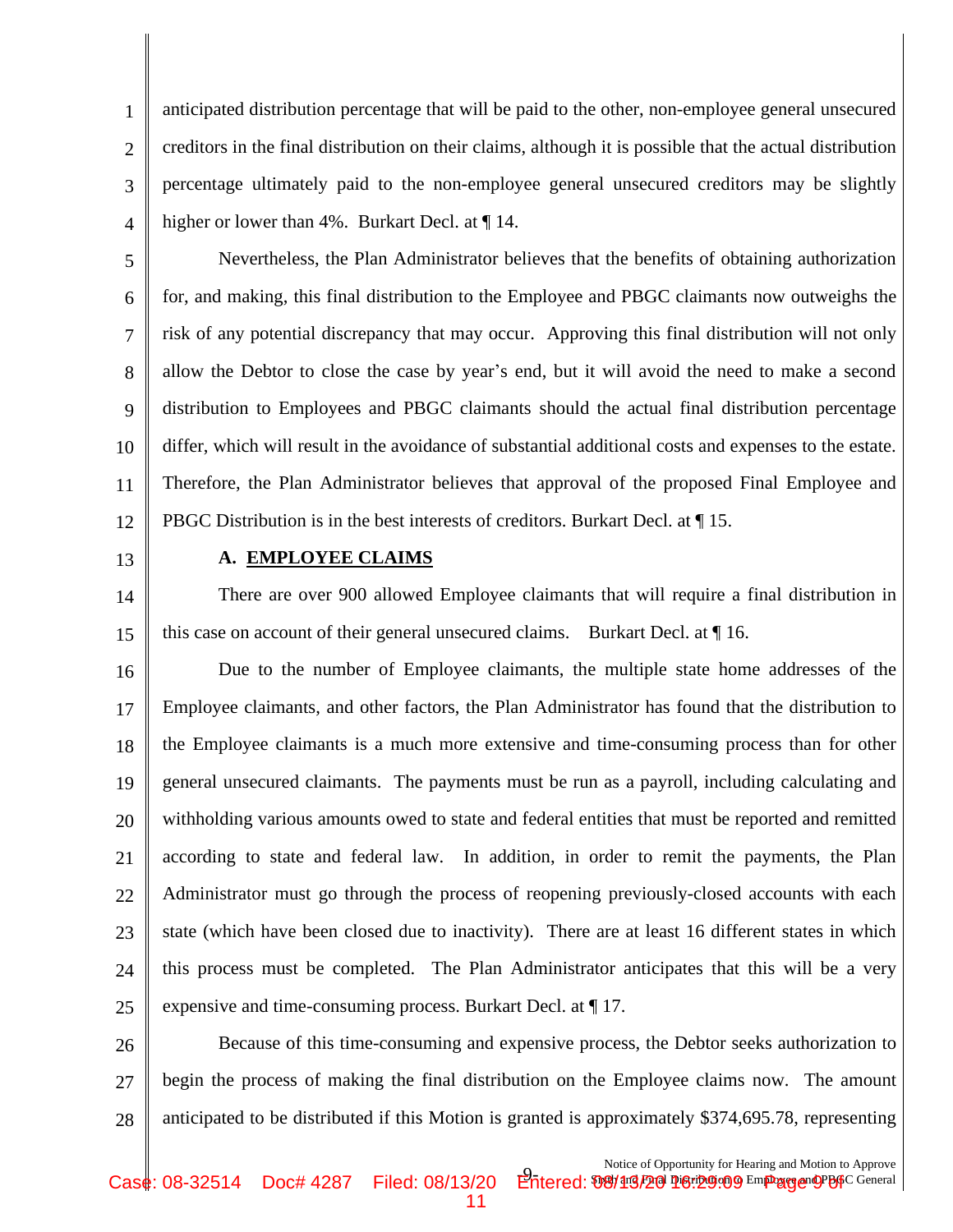1 2 3 4 anticipated distribution percentage that will be paid to the other, non-employee general unsecured creditors in the final distribution on their claims, although it is possible that the actual distribution percentage ultimately paid to the non-employee general unsecured creditors may be slightly higher or lower than 4%. Burkart Decl. at  $\P$  14.

5 6 7 8 9 10 11 12 Nevertheless, the Plan Administrator believes that the benefits of obtaining authorization for, and making, this final distribution to the Employee and PBGC claimants now outweighs the risk of any potential discrepancy that may occur. Approving this final distribution will not only allow the Debtor to close the case by year's end, but it will avoid the need to make a second distribution to Employees and PBGC claimants should the actual final distribution percentage differ, which will result in the avoidance of substantial additional costs and expenses to the estate. Therefore, the Plan Administrator believes that approval of the proposed Final Employee and PBGC Distribution is in the best interests of creditors. Burkart Decl. at ¶ 15.

13

## **A. EMPLOYEE CLAIMS**

14 15 There are over 900 allowed Employee claimants that will require a final distribution in this case on account of their general unsecured claims. Burkart Decl. at ¶ 16.

16 17 18 19 20 21 22 23 24  $25$ Due to the number of Employee claimants, the multiple state home addresses of the Employee claimants, and other factors, the Plan Administrator has found that the distribution to the Employee claimants is a much more extensive and time-consuming process than for other general unsecured claimants. The payments must be run as a payroll, including calculating and withholding various amounts owed to state and federal entities that must be reported and remitted according to state and federal law. In addition, in order to remit the payments, the Plan Administrator must go through the process of reopening previously-closed accounts with each state (which have been closed due to inactivity). There are at least 16 different states in which this process must be completed. The Plan Administrator anticipates that this will be a very expensive and time-consuming process. Burkart Decl. at ¶ 17.

26 27 28 Because of this time-consuming and expensive process, the Debtor seeks authorization to begin the process of making the final distribution on the Employee claims now. The amount anticipated to be distributed if this Motion is granted is approximately \$374,695.78, representing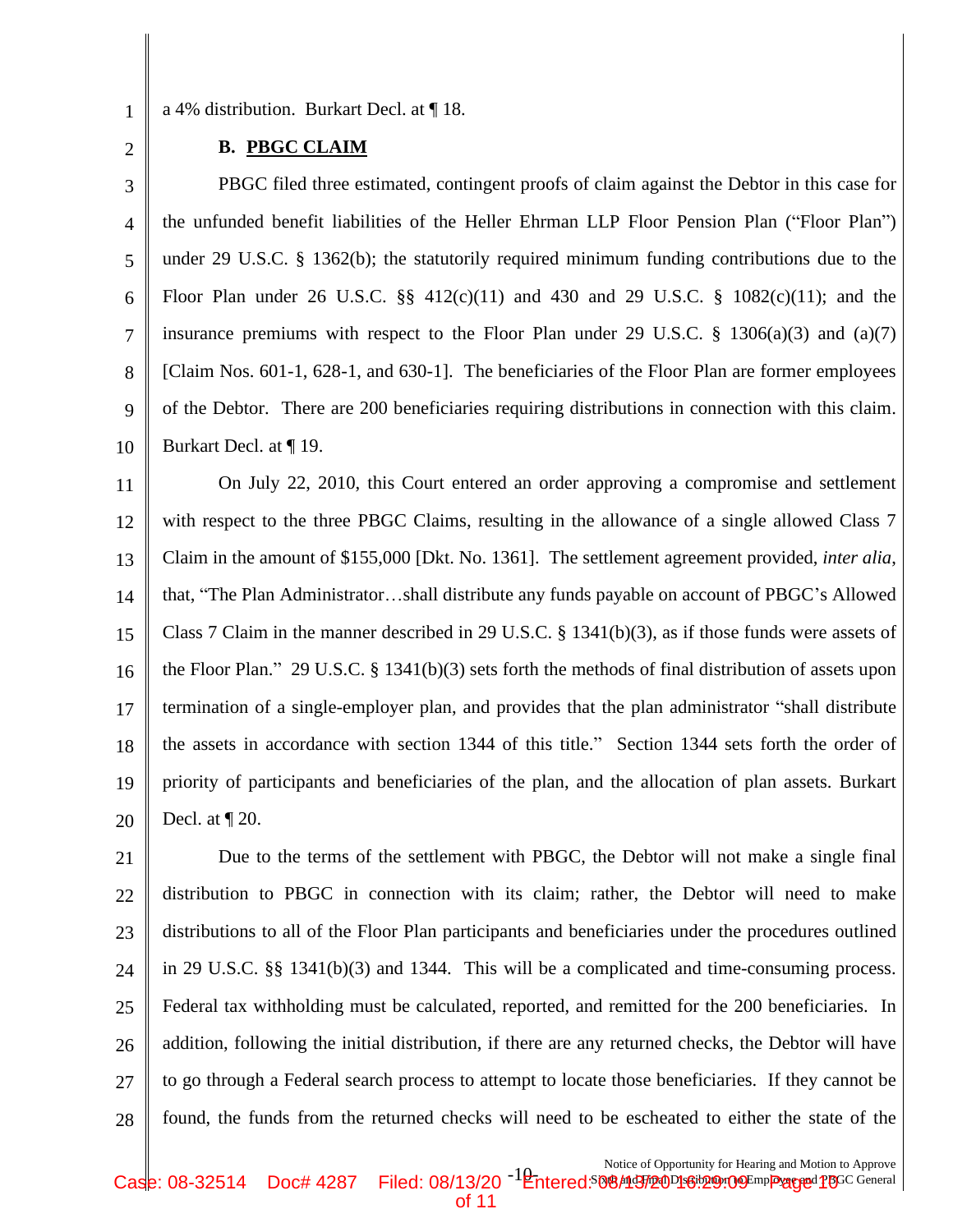1 2

#### a 4% distribution. Burkart Decl. at ¶ 18.

### **B. PBGC CLAIM**

3 4 5 6 7 8 9 10 PBGC filed three estimated, contingent proofs of claim against the Debtor in this case for the unfunded benefit liabilities of the Heller Ehrman LLP Floor Pension Plan ("Floor Plan") under 29 U.S.C. § 1362(b); the statutorily required minimum funding contributions due to the Floor Plan under 26 U.S.C.  $\S$  412(c)(11) and 430 and 29 U.S.C. § 1082(c)(11); and the insurance premiums with respect to the Floor Plan under 29 U.S.C.  $\S$  1306(a)(3) and (a)(7) [Claim Nos. 601-1, 628-1, and 630-1]. The beneficiaries of the Floor Plan are former employees of the Debtor. There are 200 beneficiaries requiring distributions in connection with this claim. Burkart Decl. at ¶ 19.

11 12 13 14 15 16 17 18 19 20 On July 22, 2010, this Court entered an order approving a compromise and settlement with respect to the three PBGC Claims, resulting in the allowance of a single allowed Class 7 Claim in the amount of \$155,000 [Dkt. No. 1361]. The settlement agreement provided, *inter alia*, that, "The Plan Administrator…shall distribute any funds payable on account of PBGC's Allowed Class 7 Claim in the manner described in 29 U.S.C. § 1341(b)(3), as if those funds were assets of the Floor Plan." 29 U.S.C. § 1341(b)(3) sets forth the methods of final distribution of assets upon termination of a single-employer plan, and provides that the plan administrator "shall distribute the assets in accordance with section 1344 of this title." Section 1344 sets forth the order of priority of participants and beneficiaries of the plan, and the allocation of plan assets. Burkart Decl. at  $\P$  20.

21 22 23 24 25 26 27 28 Due to the terms of the settlement with PBGC, the Debtor will not make a single final distribution to PBGC in connection with its claim; rather, the Debtor will need to make distributions to all of the Floor Plan participants and beneficiaries under the procedures outlined in 29 U.S.C. §§ 1341(b)(3) and 1344. This will be a complicated and time-consuming process. Federal tax withholding must be calculated, reported, and remitted for the 200 beneficiaries. In addition, following the initial distribution, if there are any returned checks, the Debtor will have to go through a Federal search process to attempt to locate those beneficiaries. If they cannot be found, the funds from the returned checks will need to be escheated to either the state of the

Notice of Opportunity for Hearing and Motion to Approve